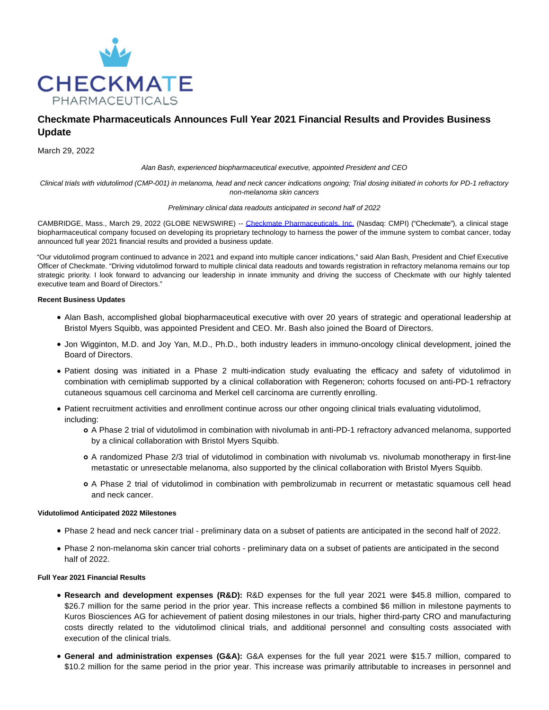

# **Checkmate Pharmaceuticals Announces Full Year 2021 Financial Results and Provides Business Update**

March 29, 2022

Alan Bash, experienced biopharmaceutical executive, appointed President and CEO

Clinical trials with vidutolimod (CMP-001) in melanoma, head and neck cancer indications ongoing; Trial dosing initiated in cohorts for PD-1 refractory non-melanoma skin cancers

#### Preliminary clinical data readouts anticipated in second half of 2022

CAMBRIDGE, Mass., March 29, 2022 (GLOBE NEWSWIRE) -- [Checkmate Pharmaceuticals, Inc. \(](https://www.globenewswire.com/Tracker?data=WVlKRDRLO-qtQhIdOpio7LuOioKqCpd8g3ol239fwBIKFMb6ORZ_4PTEGoK-U52ej0rcJL49YF-3oWbeX3ZKUOdCHYLdvIaaPcIRIerRqu67Lu9kl_XHJg1Ha6Bp3_K5)Nasdaq: CMPI) ("Checkmate"), a clinical stage biopharmaceutical company focused on developing its proprietary technology to harness the power of the immune system to combat cancer, today announced full year 2021 financial results and provided a business update.

"Our vidutolimod program continued to advance in 2021 and expand into multiple cancer indications," said Alan Bash, President and Chief Executive Officer of Checkmate. "Driving vidutolimod forward to multiple clinical data readouts and towards registration in refractory melanoma remains our top strategic priority. I look forward to advancing our leadership in innate immunity and driving the success of Checkmate with our highly talented executive team and Board of Directors."

## **Recent Business Updates**

- Alan Bash, accomplished global biopharmaceutical executive with over 20 years of strategic and operational leadership at Bristol Myers Squibb, was appointed President and CEO. Mr. Bash also joined the Board of Directors.
- Jon Wigginton, M.D. and Joy Yan, M.D., Ph.D., both industry leaders in immuno-oncology clinical development, joined the Board of Directors.
- Patient dosing was initiated in a Phase 2 multi-indication study evaluating the efficacy and safety of vidutolimod in combination with cemiplimab supported by a clinical collaboration with Regeneron; cohorts focused on anti-PD-1 refractory cutaneous squamous cell carcinoma and Merkel cell carcinoma are currently enrolling.
- Patient recruitment activities and enrollment continue across our other ongoing clinical trials evaluating vidutolimod, including:
	- A Phase 2 trial of vidutolimod in combination with nivolumab in anti-PD-1 refractory advanced melanoma, supported by a clinical collaboration with Bristol Myers Squibb.
	- A randomized Phase 2/3 trial of vidutolimod in combination with nivolumab vs. nivolumab monotherapy in first-line metastatic or unresectable melanoma, also supported by the clinical collaboration with Bristol Myers Squibb.
	- A Phase 2 trial of vidutolimod in combination with pembrolizumab in recurrent or metastatic squamous cell head and neck cancer.

## **Vidutolimod Anticipated 2022 Milestones**

- Phase 2 head and neck cancer trial preliminary data on a subset of patients are anticipated in the second half of 2022.
- Phase 2 non-melanoma skin cancer trial cohorts preliminary data on a subset of patients are anticipated in the second half of 2022.

## **Full Year 2021 Financial Results**

- **Research and development expenses (R&D):** R&D expenses for the full year 2021 were \$45.8 million, compared to \$26.7 million for the same period in the prior year. This increase reflects a combined \$6 million in milestone payments to Kuros Biosciences AG for achievement of patient dosing milestones in our trials, higher third-party CRO and manufacturing costs directly related to the vidutolimod clinical trials, and additional personnel and consulting costs associated with execution of the clinical trials.
- **General and administration expenses (G&A):** G&A expenses for the full year 2021 were \$15.7 million, compared to \$10.2 million for the same period in the prior year. This increase was primarily attributable to increases in personnel and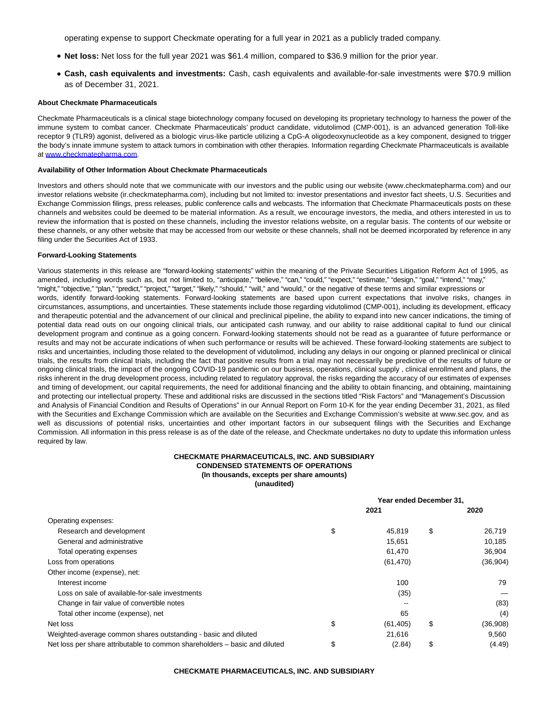operating expense to support Checkmate operating for a full year in 2021 as a publicly traded company.

- **Net loss:** Net loss for the full year 2021 was \$61.4 million, compared to \$36.9 million for the prior year.
- **Cash, cash equivalents and investments:** Cash, cash equivalents and available-for-sale investments were \$70.9 million as of December 31, 2021.

#### **About Checkmate Pharmaceuticals**

Checkmate Pharmaceuticals is a clinical stage biotechnology company focused on developing its proprietary technology to harness the power of the immune system to combat cancer. Checkmate Pharmaceuticals' product candidate, vidutolimod (CMP-001), is an advanced generation Toll-like receptor 9 (TLR9) agonist, delivered as a biologic virus-like particle utilizing a CpG-A oligodeoxynucleotide as a key component, designed to trigger the body's innate immune system to attack tumors in combination with other therapies. Information regarding Checkmate Pharmaceuticals is available at [www.checkmatepharma.com.](https://www.globenewswire.com/Tracker?data=_o9q1NKiPOzVbx96dFniDLoAsPY3gSd3wgNJCTuLR48K2pDpoPmDHwIobnqNJ3a2qvVq7Kbtpf1QRc4gms0UXXfwQbSDZBPVFDICmrDsZ0qQ0zbuZEs6fprEVcf9NjehgLiM-sYTUO-_LmI5CS56i0b7YV004Y092ZL2RCV_0PYxq4m5TeMbtNiHQeWBEkaG3DdN03p1myhYTJyzeMunxtLAc5xUP28ONFSgjgcmHxl08SDauZY8k9WStuhUhH4-Gz_I3JG61vmucIk7CFmFCyeLticC_KfG4ugiND6qJdnSFxA5QTHtQbUGgm9YLZrj6DZzuDdUi53Gt6839EBuy6wGCKiozL-ch9v_GdFsGhM=)

#### **Availability of Other Information About Checkmate Pharmaceuticals**

Investors and others should note that we communicate with our investors and the public using our website (www.checkmatepharma.com) and our investor relations website (ir.checkmatepharma.com), including but not limited to: investor presentations and investor fact sheets, U.S. Securities and Exchange Commission filings, press releases, public conference calls and webcasts. The information that Checkmate Pharmaceuticals posts on these channels and websites could be deemed to be material information. As a result, we encourage investors, the media, and others interested in us to review the information that is posted on these channels, including the investor relations website, on a regular basis. The contents of our website or these channels, or any other website that may be accessed from our website or these channels, shall not be deemed incorporated by reference in any filing under the Securities Act of 1933.

#### **Forward-Looking Statements**

Various statements in this release are "forward-looking statements" within the meaning of the Private Securities Litigation Reform Act of 1995, as amended, including words such as, but not limited to, "anticipate," "believe," "can," "could," "expect," "estimate," "design," "goal," "intend," "may," "might," "objective," "plan," "predict," "project," "target," "likely," "should," "will," and "would," or the negative of these terms and similar expressions or words, identify forward-looking statements. Forward-looking statements are based upon current expectations that involve risks, changes in circumstances, assumptions, and uncertainties. These statements include those regarding vidutolimod (CMP-001), including its development, efficacy and therapeutic potential and the advancement of our clinical and preclinical pipeline, the ability to expand into new cancer indications, the timing of potential data read outs on our ongoing clinical trials, our anticipated cash runway, and our ability to raise additional capital to fund our clinical development program and continue as a going concern. Forward-looking statements should not be read as a guarantee of future performance or results and may not be accurate indications of when such performance or results will be achieved. These forward-looking statements are subject to risks and uncertainties, including those related to the development of vidutolimod, including any delays in our ongoing or planned preclinical or clinical trials, the results from clinical trials, including the fact that positive results from a trial may not necessarily be predictive of the results of future or ongoing clinical trials, the impact of the ongoing COVID-19 pandemic on our business, operations, clinical supply , clinical enrollment and plans, the risks inherent in the drug development process, including related to regulatory approval, the risks regarding the accuracy of our estimates of expenses and timing of development, our capital requirements, the need for additional financing and the ability to obtain financing, and obtaining, maintaining and protecting our intellectual property. These and additional risks are discussed in the sections titled "Risk Factors" and "Management's Discussion and Analysis of Financial Condition and Results of Operations" in our Annual Report on Form 10-K for the year ending December 31, 2021, as filed with the Securities and Exchange Commission which are available on the Securities and Exchange Commission's website at www.sec.gov, and as well as discussions of potential risks, uncertainties and other important factors in our subsequent filings with the Securities and Exchange Commission. All information in this press release is as of the date of the release, and Checkmate undertakes no duty to update this information unless required by law.

#### **CHECKMATE PHARMACEUTICALS, INC. AND SUBSIDIARY CONDENSED STATEMENTS OF OPERATIONS (In thousands, excepts per share amounts) (unaudited)**

|                                                                            |                 | Year ended December 31.<br>2021 |           |  |
|----------------------------------------------------------------------------|-----------------|---------------------------------|-----------|--|
|                                                                            |                 |                                 | 2020      |  |
| Operating expenses:                                                        |                 |                                 |           |  |
| Research and development                                                   | \$<br>45.819    | \$                              | 26,719    |  |
| General and administrative                                                 | 15,651          |                                 | 10,185    |  |
| Total operating expenses                                                   | 61.470          |                                 | 36,904    |  |
| Loss from operations                                                       | (61, 470)       |                                 | (36, 904) |  |
| Other income (expense), net:                                               |                 |                                 |           |  |
| Interest income                                                            | 100             |                                 | 79        |  |
| Loss on sale of available-for-sale investments                             | (35)            |                                 |           |  |
| Change in fair value of convertible notes                                  | $- -$           |                                 | (83)      |  |
| Total other income (expense), net                                          | 65              |                                 | (4)       |  |
| Net loss                                                                   | \$<br>(61, 405) | \$                              | (36,908)  |  |
| Weighted-average common shares outstanding - basic and diluted             | 21,616          |                                 | 9,560     |  |
| Net loss per share attributable to common shareholders - basic and diluted | \$<br>(2.84)    | \$                              | (4.49)    |  |